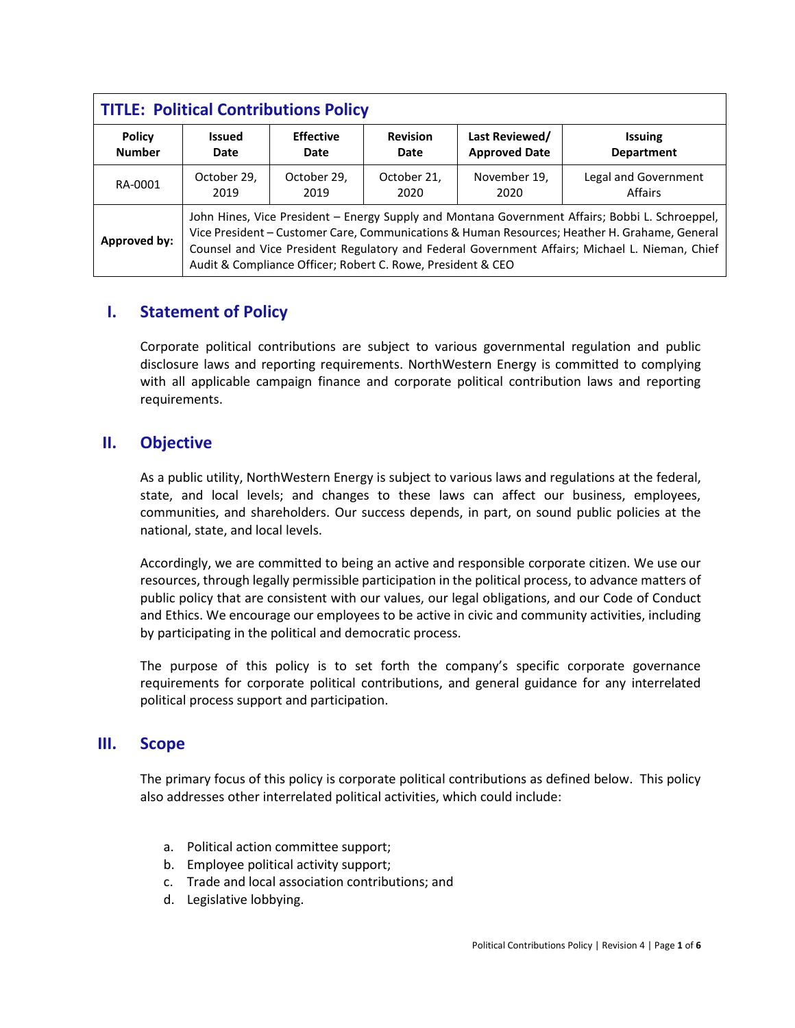| <b>TITLE: Political Contributions Policy</b> |                                                                                                                                                                                                                                                                                                                                                                   |                  |                 |                      |                      |
|----------------------------------------------|-------------------------------------------------------------------------------------------------------------------------------------------------------------------------------------------------------------------------------------------------------------------------------------------------------------------------------------------------------------------|------------------|-----------------|----------------------|----------------------|
| <b>Policy</b>                                | <b>Issued</b>                                                                                                                                                                                                                                                                                                                                                     | <b>Effective</b> | <b>Revision</b> | Last Reviewed/       | <b>Issuing</b>       |
| <b>Number</b>                                | Date                                                                                                                                                                                                                                                                                                                                                              | Date             | Date            | <b>Approved Date</b> | <b>Department</b>    |
| RA-0001                                      | October 29,                                                                                                                                                                                                                                                                                                                                                       | October 29,      | October 21,     | November 19,         | Legal and Government |
|                                              | 2019                                                                                                                                                                                                                                                                                                                                                              | 2019             | 2020            | 2020                 | Affairs              |
| <b>Approved by:</b>                          | John Hines, Vice President - Energy Supply and Montana Government Affairs; Bobbi L. Schroeppel,<br>Vice President - Customer Care, Communications & Human Resources; Heather H. Grahame, General<br>Counsel and Vice President Regulatory and Federal Government Affairs; Michael L. Nieman, Chief<br>Audit & Compliance Officer; Robert C. Rowe, President & CEO |                  |                 |                      |                      |

## **I. Statement of Policy**

Corporate political contributions are subject to various governmental regulation and public disclosure laws and reporting requirements. NorthWestern Energy is committed to complying with all applicable campaign finance and corporate political contribution laws and reporting requirements.

## **II. Objective**

As a public utility, NorthWestern Energy is subject to various laws and regulations at the federal, state, and local levels; and changes to these laws can affect our business, employees, communities, and shareholders. Our success depends, in part, on sound public policies at the national, state, and local levels.

Accordingly, we are committed to being an active and responsible corporate citizen. We use our resources, through legally permissible participation in the political process, to advance matters of public policy that are consistent with our values, our legal obligations, and our Code of Conduct and Ethics. We encourage our employees to be active in civic and community activities, including by participating in the political and democratic process.

The purpose of this policy is to set forth the company's specific corporate governance requirements for corporate political contributions, and general guidance for any interrelated political process support and participation.

#### **III. Scope**

The primary focus of this policy is corporate political contributions as defined below. This policy also addresses other interrelated political activities, which could include:

- a. Political action committee support;
- b. Employee political activity support;
- c. Trade and local association contributions; and
- d. Legislative lobbying.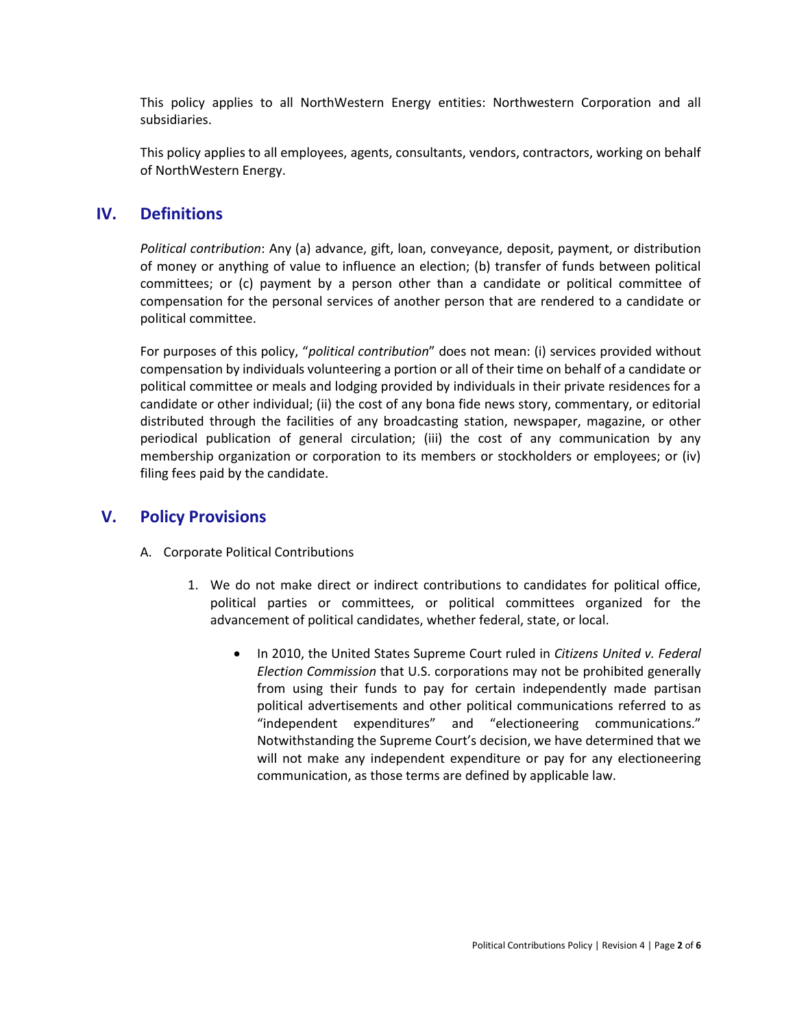This policy applies to all NorthWestern Energy entities: Northwestern Corporation and all subsidiaries.

This policy applies to all employees, agents, consultants, vendors, contractors, working on behalf of NorthWestern Energy.

#### **IV. Definitions**

*Political contribution*: Any (a) advance, gift, loan, conveyance, deposit, payment, or distribution of money or anything of value to influence an election; (b) transfer of funds between political committees; or (c) payment by a person other than a candidate or political committee of compensation for the personal services of another person that are rendered to a candidate or political committee.

For purposes of this policy, "*political contribution*" does not mean: (i) services provided without compensation by individuals volunteering a portion or all of their time on behalf of a candidate or political committee or meals and lodging provided by individuals in their private residences for a candidate or other individual; (ii) the cost of any bona fide news story, commentary, or editorial distributed through the facilities of any broadcasting station, newspaper, magazine, or other periodical publication of general circulation; (iii) the cost of any communication by any membership organization or corporation to its members or stockholders or employees; or (iv) filing fees paid by the candidate.

#### **V. Policy Provisions**

- A. Corporate Political Contributions
	- 1. We do not make direct or indirect contributions to candidates for political office, political parties or committees, or political committees organized for the advancement of political candidates, whether federal, state, or local.
		- In 2010, the United States Supreme Court ruled in *Citizens United v. Federal Election Commission* that U.S. corporations may not be prohibited generally from using their funds to pay for certain independently made partisan political advertisements and other political communications referred to as "independent expenditures" and "electioneering communications." Notwithstanding the Supreme Court's decision, we have determined that we will not make any independent expenditure or pay for any electioneering communication, as those terms are defined by applicable law.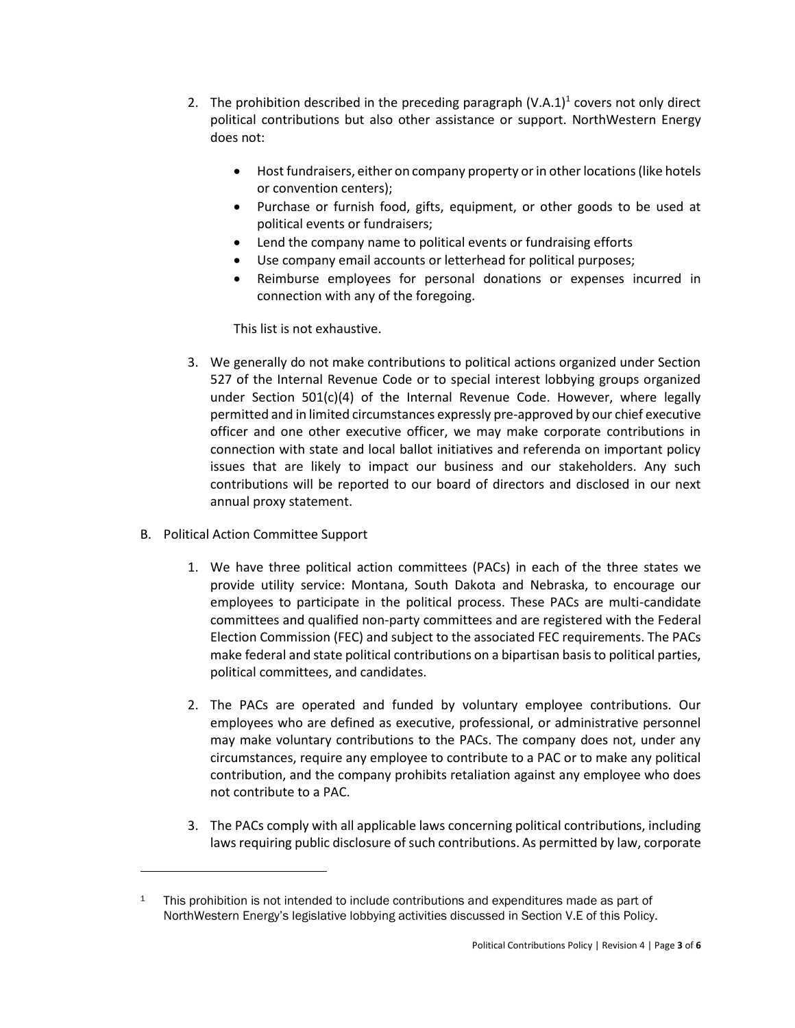- 2. The prohibition described in the preceding paragraph  $(V.A.1)^1$  covers not only direct political contributions but also other assistance or support. NorthWestern Energy does not:
	- Host fundraisers, either on company property or in other locations (like hotels or convention centers);
	- Purchase or furnish food, gifts, equipment, or other goods to be used at political events or fundraisers;
	- Lend the company name to political events or fundraising efforts
	- Use company email accounts or letterhead for political purposes;
	- Reimburse employees for personal donations or expenses incurred in connection with any of the foregoing.

This list is not exhaustive.

- 3. We generally do not make contributions to political actions organized under Section 527 of the Internal Revenue Code or to special interest lobbying groups organized under Section 501(c)(4) of the Internal Revenue Code. However, where legally permitted and in limited circumstances expressly pre-approved by our chief executive officer and one other executive officer, we may make corporate contributions in connection with state and local ballot initiatives and referenda on important policy issues that are likely to impact our business and our stakeholders. Any such contributions will be reported to our board of directors and disclosed in our next annual proxy statement.
- B. Political Action Committee Support

- 1. We have three political action committees (PACs) in each of the three states we provide utility service: Montana, South Dakota and Nebraska, to encourage our employees to participate in the political process. These PACs are multi-candidate committees and qualified non-party committees and are registered with the Federal Election Commission (FEC) and subject to the associated FEC requirements. The PACs make federal and state political contributions on a bipartisan basis to political parties, political committees, and candidates.
- 2. The PACs are operated and funded by voluntary employee contributions. Our employees who are defined as executive, professional, or administrative personnel may make voluntary contributions to the PACs. The company does not, under any circumstances, require any employee to contribute to a PAC or to make any political contribution, and the company prohibits retaliation against any employee who does not contribute to a PAC.
- 3. The PACs comply with all applicable laws concerning political contributions, including laws requiring public disclosure of such contributions. As permitted by law, corporate

<sup>&</sup>lt;sup>1</sup> This prohibition is not intended to include contributions and expenditures made as part of NorthWestern Energy's legislative lobbying activities discussed in Section V.E of this Policy.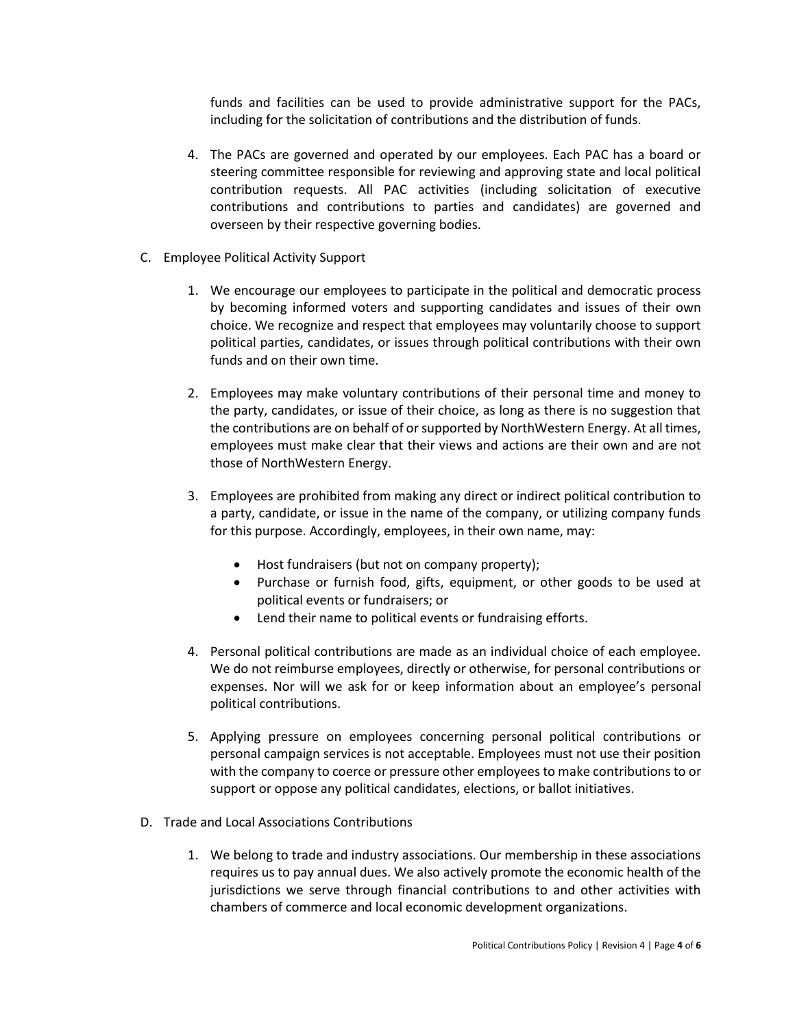funds and facilities can be used to provide administrative support for the PACs, including for the solicitation of contributions and the distribution of funds.

- 4. The PACs are governed and operated by our employees. Each PAC has a board or steering committee responsible for reviewing and approving state and local political contribution requests. All PAC activities (including solicitation of executive contributions and contributions to parties and candidates) are governed and overseen by their respective governing bodies.
- C. Employee Political Activity Support
	- 1. We encourage our employees to participate in the political and democratic process by becoming informed voters and supporting candidates and issues of their own choice. We recognize and respect that employees may voluntarily choose to support political parties, candidates, or issues through political contributions with their own funds and on their own time.
	- 2. Employees may make voluntary contributions of their personal time and money to the party, candidates, or issue of their choice, as long as there is no suggestion that the contributions are on behalf of or supported by NorthWestern Energy. At all times, employees must make clear that their views and actions are their own and are not those of NorthWestern Energy.
	- 3. Employees are prohibited from making any direct or indirect political contribution to a party, candidate, or issue in the name of the company, or utilizing company funds for this purpose. Accordingly, employees, in their own name, may:
		- Host fundraisers (but not on company property);
		- Purchase or furnish food, gifts, equipment, or other goods to be used at political events or fundraisers; or
		- Lend their name to political events or fundraising efforts.
	- 4. Personal political contributions are made as an individual choice of each employee. We do not reimburse employees, directly or otherwise, for personal contributions or expenses. Nor will we ask for or keep information about an employee's personal political contributions.
	- 5. Applying pressure on employees concerning personal political contributions or personal campaign services is not acceptable. Employees must not use their position with the company to coerce or pressure other employees to make contributions to or support or oppose any political candidates, elections, or ballot initiatives.
- D. Trade and Local Associations Contributions
	- 1. We belong to trade and industry associations. Our membership in these associations requires us to pay annual dues. We also actively promote the economic health of the jurisdictions we serve through financial contributions to and other activities with chambers of commerce and local economic development organizations.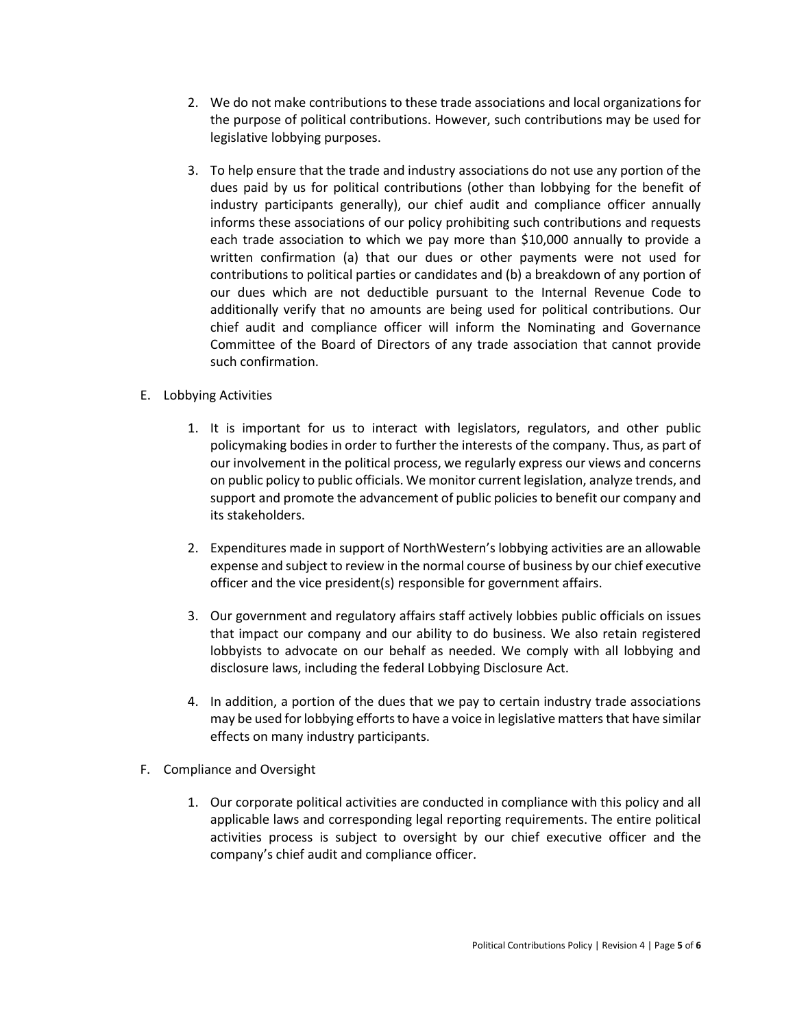- 2. We do not make contributions to these trade associations and local organizations for the purpose of political contributions. However, such contributions may be used for legislative lobbying purposes.
- 3. To help ensure that the trade and industry associations do not use any portion of the dues paid by us for political contributions (other than lobbying for the benefit of industry participants generally), our chief audit and compliance officer annually informs these associations of our policy prohibiting such contributions and requests each trade association to which we pay more than \$10,000 annually to provide a written confirmation (a) that our dues or other payments were not used for contributions to political parties or candidates and (b) a breakdown of any portion of our dues which are not deductible pursuant to the Internal Revenue Code to additionally verify that no amounts are being used for political contributions. Our chief audit and compliance officer will inform the Nominating and Governance Committee of the Board of Directors of any trade association that cannot provide such confirmation.
- E. Lobbying Activities
	- 1. It is important for us to interact with legislators, regulators, and other public policymaking bodies in order to further the interests of the company. Thus, as part of our involvement in the political process, we regularly express our views and concerns on public policy to public officials. We monitor current legislation, analyze trends, and support and promote the advancement of public policies to benefit our company and its stakeholders.
	- 2. Expenditures made in support of NorthWestern's lobbying activities are an allowable expense and subject to review in the normal course of business by our chief executive officer and the vice president(s) responsible for government affairs.
	- 3. Our government and regulatory affairs staff actively lobbies public officials on issues that impact our company and our ability to do business. We also retain registered lobbyists to advocate on our behalf as needed. We comply with all lobbying and disclosure laws, including the federal Lobbying Disclosure Act.
	- 4. In addition, a portion of the dues that we pay to certain industry trade associations may be used for lobbying efforts to have a voice in legislative matters that have similar effects on many industry participants.
- F. Compliance and Oversight
	- 1. Our corporate political activities are conducted in compliance with this policy and all applicable laws and corresponding legal reporting requirements. The entire political activities process is subject to oversight by our chief executive officer and the company's chief audit and compliance officer.